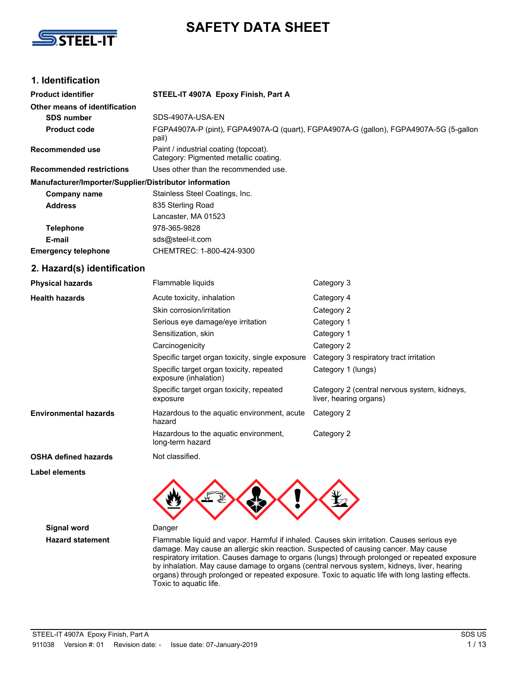

# **SAFETY DATA SHEET**

## **1. Identification**

| <b>Product identifier</b>                              | STEEL-IT 4907A Epoxy Finish, Part A                                                            |                                                                        |  |
|--------------------------------------------------------|------------------------------------------------------------------------------------------------|------------------------------------------------------------------------|--|
| Other means of identification                          |                                                                                                |                                                                        |  |
| <b>SDS number</b>                                      | SDS-4907A-USA-EN                                                                               |                                                                        |  |
| <b>Product code</b>                                    | FGPA4907A-P (pint), FGPA4907A-Q (quart), FGPA4907A-G (gallon), FGPA4907A-5G (5-gallon<br>pail) |                                                                        |  |
| Recommended use                                        | Paint / industrial coating (topcoat).<br>Category: Pigmented metallic coating.                 |                                                                        |  |
| <b>Recommended restrictions</b>                        | Uses other than the recommended use.                                                           |                                                                        |  |
| Manufacturer/Importer/Supplier/Distributor information |                                                                                                |                                                                        |  |
| <b>Company name</b>                                    | Stainless Steel Coatings, Inc.                                                                 |                                                                        |  |
| <b>Address</b>                                         | 835 Sterling Road                                                                              |                                                                        |  |
|                                                        | Lancaster, MA 01523                                                                            |                                                                        |  |
| <b>Telephone</b>                                       | 978-365-9828                                                                                   |                                                                        |  |
| E-mail                                                 | sds@steel-it.com                                                                               |                                                                        |  |
| <b>Emergency telephone</b>                             | CHEMTREC: 1-800-424-9300                                                                       |                                                                        |  |
| 2. Hazard(s) identification                            |                                                                                                |                                                                        |  |
| <b>Physical hazards</b>                                | Flammable liquids                                                                              | Category 3                                                             |  |
| <b>Health hazards</b>                                  | Acute toxicity, inhalation                                                                     | Category 4                                                             |  |
|                                                        | Skin corrosion/irritation                                                                      | Category 2                                                             |  |
|                                                        | Serious eye damage/eye irritation                                                              | Category 1                                                             |  |
|                                                        | Sensitization, skin                                                                            | Category 1                                                             |  |
|                                                        | Carcinogenicity                                                                                | Category 2                                                             |  |
|                                                        | Specific target organ toxicity, single exposure                                                | Category 3 respiratory tract irritation                                |  |
|                                                        | Specific target organ toxicity, repeated<br>exposure (inhalation)                              | Category 1 (lungs)                                                     |  |
|                                                        | Specific target organ toxicity, repeated<br>exposure                                           | Category 2 (central nervous system, kidneys,<br>liver, hearing organs) |  |
| <b>Environmental hazards</b>                           | Hazardous to the aquatic environment, acute<br>hazard                                          | Category 2                                                             |  |
|                                                        | Hazardous to the aquatic environment,<br>long-term hazard                                      | Category 2                                                             |  |
| <b>OSHA defined hazards</b>                            | Not classified.                                                                                |                                                                        |  |
| <b>Label elements</b>                                  | УŊ.                                                                                            | ٦Y.                                                                    |  |

**Signal word** Danger

**Hazard statement** Flammable liquid and vapor. Harmful if inhaled. Causes skin irritation. Causes serious eye damage. May cause an allergic skin reaction. Suspected of causing cancer. May cause respiratory irritation. Causes damage to organs (lungs) through prolonged or repeated exposure by inhalation. May cause damage to organs (central nervous system, kidneys, liver, hearing organs) through prolonged or repeated exposure. Toxic to aquatic life with long lasting effects. Toxic to aquatic life.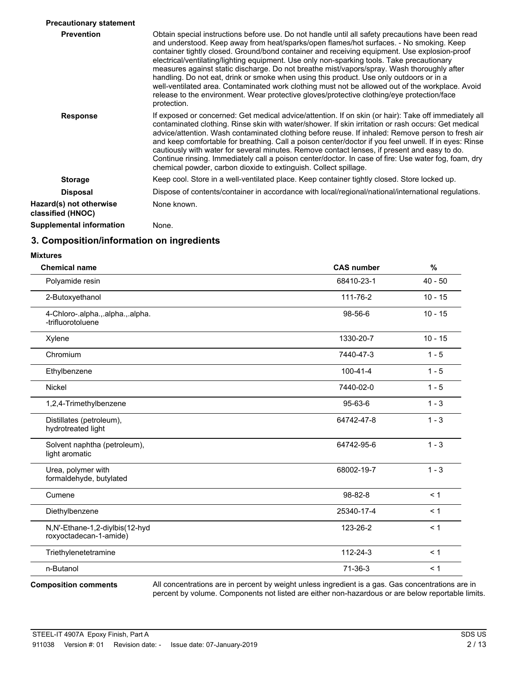| <b>Precautionary statement</b>               |                                                                                                                                                                                                                                                                                                                                                                                                                                                                                                                                                                                                                                                                                                                                                                                                      |
|----------------------------------------------|------------------------------------------------------------------------------------------------------------------------------------------------------------------------------------------------------------------------------------------------------------------------------------------------------------------------------------------------------------------------------------------------------------------------------------------------------------------------------------------------------------------------------------------------------------------------------------------------------------------------------------------------------------------------------------------------------------------------------------------------------------------------------------------------------|
| <b>Prevention</b>                            | Obtain special instructions before use. Do not handle until all safety precautions have been read<br>and understood. Keep away from heat/sparks/open flames/hot surfaces. - No smoking. Keep<br>container tightly closed. Ground/bond container and receiving equipment. Use explosion-proof<br>electrical/ventilating/lighting equipment. Use only non-sparking tools. Take precautionary<br>measures against static discharge. Do not breathe mist/vapors/spray. Wash thoroughly after<br>handling. Do not eat, drink or smoke when using this product. Use only outdoors or in a<br>well-ventilated area. Contaminated work clothing must not be allowed out of the workplace. Avoid<br>release to the environment. Wear protective gloves/protective clothing/eye protection/face<br>protection. |
| <b>Response</b>                              | If exposed or concerned: Get medical advice/attention. If on skin (or hair): Take off immediately all<br>contaminated clothing. Rinse skin with water/shower. If skin irritation or rash occurs: Get medical<br>advice/attention. Wash contaminated clothing before reuse. If inhaled: Remove person to fresh air<br>and keep comfortable for breathing. Call a poison center/doctor if you feel unwell. If in eyes: Rinse<br>cautiously with water for several minutes. Remove contact lenses, if present and easy to do.<br>Continue rinsing. Immediately call a poison center/doctor. In case of fire: Use water fog, foam, dry<br>chemical powder, carbon dioxide to extinguish. Collect spillage.                                                                                               |
| <b>Storage</b>                               | Keep cool. Store in a well-ventilated place. Keep container tightly closed. Store locked up.                                                                                                                                                                                                                                                                                                                                                                                                                                                                                                                                                                                                                                                                                                         |
| <b>Disposal</b>                              | Dispose of contents/container in accordance with local/regional/national/international regulations.                                                                                                                                                                                                                                                                                                                                                                                                                                                                                                                                                                                                                                                                                                  |
| Hazard(s) not otherwise<br>classified (HNOC) | None known.                                                                                                                                                                                                                                                                                                                                                                                                                                                                                                                                                                                                                                                                                                                                                                                          |
| <b>Supplemental information</b>              | None.                                                                                                                                                                                                                                                                                                                                                                                                                                                                                                                                                                                                                                                                                                                                                                                                |

# **3. Composition/information on ingredients**

#### **Mixtures**

| <b>Chemical name</b>                                     | <b>CAS number</b> | %         |
|----------------------------------------------------------|-------------------|-----------|
| Polyamide resin                                          | 68410-23-1        | $40 - 50$ |
| 2-Butoxyethanol                                          | 111-76-2          | $10 - 15$ |
| 4-Chloro-.alpha.,.alpha.,.alpha.<br>-trifluorotoluene    | 98-56-6           | $10 - 15$ |
| Xylene                                                   | 1330-20-7         | $10 - 15$ |
| Chromium                                                 | 7440-47-3         | $1 - 5$   |
| Ethylbenzene                                             | $100 - 41 - 4$    | $1 - 5$   |
| <b>Nickel</b>                                            | 7440-02-0         | $1 - 5$   |
| 1,2,4-Trimethylbenzene                                   | $95 - 63 - 6$     | $1 - 3$   |
| Distillates (petroleum),<br>hydrotreated light           | 64742-47-8        | $1 - 3$   |
| Solvent naphtha (petroleum),<br>light aromatic           | 64742-95-6        | $1 - 3$   |
| Urea, polymer with<br>formaldehyde, butylated            | 68002-19-7        | $1 - 3$   |
| Cumene                                                   | $98 - 82 - 8$     | < 1       |
| Diethylbenzene                                           | 25340-17-4        | < 1       |
| N,N'-Ethane-1,2-diylbis(12-hyd<br>roxyoctadecan-1-amide) | 123-26-2          | < 1       |
| Triethylenetetramine                                     | 112-24-3          | < 1       |
| n-Butanol                                                | $71-36-3$         | < 1       |

#### **Composition comments**

All concentrations are in percent by weight unless ingredient is a gas. Gas concentrations are in percent by volume. Components not listed are either non-hazardous or are below reportable limits.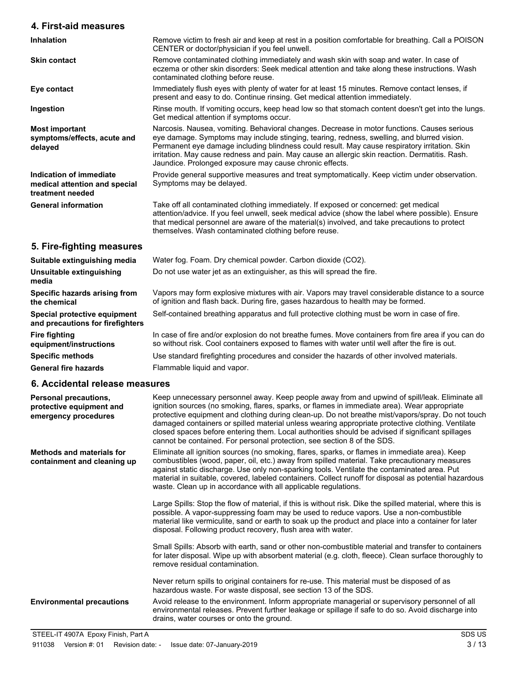### **4. First-aid measures**

| <b>Inhalation</b>                                                            | Remove victim to fresh air and keep at rest in a position comfortable for breathing. Call a POISON<br>CENTER or doctor/physician if you feel unwell.                                                                                                                                                                                                                                                                                                    |
|------------------------------------------------------------------------------|---------------------------------------------------------------------------------------------------------------------------------------------------------------------------------------------------------------------------------------------------------------------------------------------------------------------------------------------------------------------------------------------------------------------------------------------------------|
| <b>Skin contact</b>                                                          | Remove contaminated clothing immediately and wash skin with soap and water. In case of<br>eczema or other skin disorders: Seek medical attention and take along these instructions. Wash<br>contaminated clothing before reuse.                                                                                                                                                                                                                         |
| Eye contact                                                                  | Immediately flush eyes with plenty of water for at least 15 minutes. Remove contact lenses, if<br>present and easy to do. Continue rinsing. Get medical attention immediately.                                                                                                                                                                                                                                                                          |
| Ingestion                                                                    | Rinse mouth. If vomiting occurs, keep head low so that stomach content doesn't get into the lungs.<br>Get medical attention if symptoms occur.                                                                                                                                                                                                                                                                                                          |
| <b>Most important</b><br>symptoms/effects, acute and<br>delayed              | Narcosis. Nausea, vomiting. Behavioral changes. Decrease in motor functions. Causes serious<br>eye damage. Symptoms may include stinging, tearing, redness, swelling, and blurred vision.<br>Permanent eye damage including blindness could result. May cause respiratory irritation. Skin<br>irritation. May cause redness and pain. May cause an allergic skin reaction. Dermatitis. Rash.<br>Jaundice. Prolonged exposure may cause chronic effects. |
| Indication of immediate<br>medical attention and special<br>treatment needed | Provide general supportive measures and treat symptomatically. Keep victim under observation.<br>Symptoms may be delayed.                                                                                                                                                                                                                                                                                                                               |
| <b>General information</b>                                                   | Take off all contaminated clothing immediately. If exposed or concerned: get medical<br>attention/advice. If you feel unwell, seek medical advice (show the label where possible). Ensure<br>that medical personnel are aware of the material(s) involved, and take precautions to protect<br>themselves. Wash contaminated clothing before reuse.                                                                                                      |
| 5. Fire-fighting measures                                                    |                                                                                                                                                                                                                                                                                                                                                                                                                                                         |
| Suitable extinguishing media                                                 | Water fog. Foam. Dry chemical powder. Carbon dioxide (CO2).                                                                                                                                                                                                                                                                                                                                                                                             |
| Unsuitable extinguishing<br>media                                            | Do not use water jet as an extinguisher, as this will spread the fire.                                                                                                                                                                                                                                                                                                                                                                                  |
| Specific hazards arising from<br>the chemical                                | Vapors may form explosive mixtures with air. Vapors may travel considerable distance to a source<br>of ignition and flash back. During fire, gases hazardous to health may be formed.                                                                                                                                                                                                                                                                   |
| Special protective equipment<br>and precautions for firefighters             | Self-contained breathing apparatus and full protective clothing must be worn in case of fire.                                                                                                                                                                                                                                                                                                                                                           |
| <b>Fire fighting</b>                                                         | In case of fire and/or explosion do not breathe fumes. Move containers from fire area if you can do                                                                                                                                                                                                                                                                                                                                                     |

In case of fire and/or explosion do not breathe fumes. Move containers from fire area if you can do so without risk. Cool containers exposed to flames with water until well after the fire is out.

**Specific methods** Use standard firefighting procedures and consider the hazards of other involved materials. General fire hazards Flammable liquid and vapor.

### **6. Accidental release measures**

**equipment/instructions**

| Personal precautions,<br>protective equipment and<br>emergency procedures | Keep unnecessary personnel away. Keep people away from and upwind of spill/leak. Eliminate all<br>ignition sources (no smoking, flares, sparks, or flames in immediate area). Wear appropriate<br>protective equipment and clothing during clean-up. Do not breathe mist/vapors/spray. Do not touch<br>damaged containers or spilled material unless wearing appropriate protective clothing. Ventilate<br>closed spaces before entering them. Local authorities should be advised if significant spillages<br>cannot be contained. For personal protection, see section 8 of the SDS. |
|---------------------------------------------------------------------------|----------------------------------------------------------------------------------------------------------------------------------------------------------------------------------------------------------------------------------------------------------------------------------------------------------------------------------------------------------------------------------------------------------------------------------------------------------------------------------------------------------------------------------------------------------------------------------------|
| Methods and materials for<br>containment and cleaning up                  | Eliminate all ignition sources (no smoking, flares, sparks, or flames in immediate area). Keep<br>combustibles (wood, paper, oil, etc.) away from spilled material. Take precautionary measures<br>against static discharge. Use only non-sparking tools. Ventilate the contaminated area. Put<br>material in suitable, covered, labeled containers. Collect runoff for disposal as potential hazardous<br>waste. Clean up in accordance with all applicable regulations.                                                                                                              |
|                                                                           | Large Spills: Stop the flow of material, if this is without risk. Dike the spilled material, where this is<br>possible. A vapor-suppressing foam may be used to reduce vapors. Use a non-combustible<br>material like vermiculite, sand or earth to soak up the product and place into a container for later<br>disposal. Following product recovery, flush area with water.                                                                                                                                                                                                           |
|                                                                           | Small Spills: Absorb with earth, sand or other non-combustible material and transfer to containers<br>for later disposal. Wipe up with absorbent material (e.g. cloth, fleece). Clean surface thoroughly to<br>remove residual contamination.                                                                                                                                                                                                                                                                                                                                          |
|                                                                           | Never return spills to original containers for re-use. This material must be disposed of as<br>hazardous waste. For waste disposal, see section 13 of the SDS.                                                                                                                                                                                                                                                                                                                                                                                                                         |
| <b>Environmental precautions</b>                                          | Avoid release to the environment. Inform appropriate managerial or supervisory personnel of all<br>environmental releases. Prevent further leakage or spillage if safe to do so. Avoid discharge into<br>drains, water courses or onto the ground.                                                                                                                                                                                                                                                                                                                                     |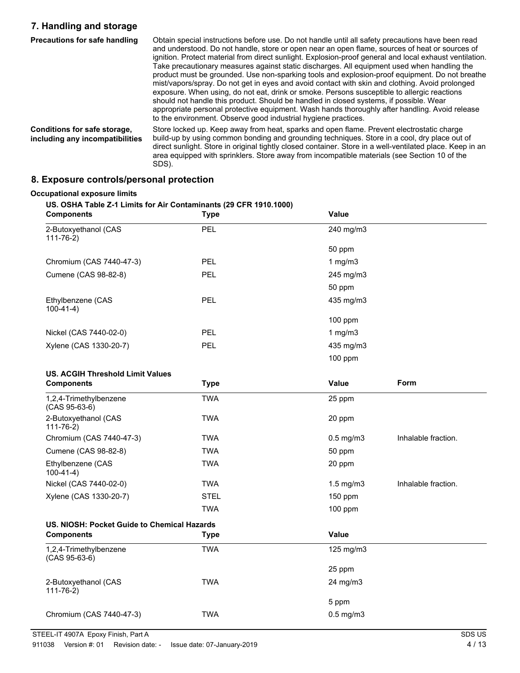### **7. Handling and storage**

| Precautions for safe handling                                   | Obtain special instructions before use. Do not handle until all safety precautions have been read<br>and understood. Do not handle, store or open near an open flame, sources of heat or sources of<br>ignition. Protect material from direct sunlight. Explosion-proof general and local exhaust ventilation.<br>Take precautionary measures against static discharges. All equipment used when handling the<br>product must be grounded. Use non-sparking tools and explosion-proof equipment. Do not breathe<br>mist/vapors/spray. Do not get in eyes and avoid contact with skin and clothing. Avoid prolonged<br>exposure. When using, do not eat, drink or smoke. Persons susceptible to allergic reactions<br>should not handle this product. Should be handled in closed systems, if possible. Wear<br>appropriate personal protective equipment. Wash hands thoroughly after handling. Avoid release<br>to the environment. Observe good industrial hygiene practices. |
|-----------------------------------------------------------------|---------------------------------------------------------------------------------------------------------------------------------------------------------------------------------------------------------------------------------------------------------------------------------------------------------------------------------------------------------------------------------------------------------------------------------------------------------------------------------------------------------------------------------------------------------------------------------------------------------------------------------------------------------------------------------------------------------------------------------------------------------------------------------------------------------------------------------------------------------------------------------------------------------------------------------------------------------------------------------|
| Conditions for safe storage,<br>including any incompatibilities | Store locked up. Keep away from heat, sparks and open flame. Prevent electrostatic charge<br>build-up by using common bonding and grounding techniques. Store in a cool, dry place out of<br>direct sunlight. Store in original tightly closed container. Store in a well-ventilated place. Keep in an<br>area equipped with sprinklers. Store away from incompatible materials (see Section 10 of the<br>SDS).                                                                                                                                                                                                                                                                                                                                                                                                                                                                                                                                                                 |

### **8. Exposure controls/personal protection**

#### **Occupational exposure limits**

# **US. OSHA Table Z-1 Limits for Air Contaminants (29 CFR 1910.1000) Components Type Value** 2-Butoxyethanol (CAS PEL 240 mg/m3 111-76-2) 50 ppm Chromium (CAS 7440-47-3) PEL 1 mg/m3 Cumene (CAS 98-82-8) PEL 245 mg/m3 50 ppm Ethylbenzene (CAS PEL 435 mg/m3 100-41-4) 100 ppm Nickel (CAS 7440-02-0) PEL 2 per setting the setting of the 1 mg/m3 Xylene (CAS 1330-20-7) PEL 435 mg/m3 100 ppm **US. ACGIH Threshold Limit Values Components Components Components Form** 1,2,4-Trimethylbenzene TWA 25 ppm (CAS 95-63-6) 2-Butoxyethanol (CAS TWA TWA 20 ppm 111-76-2) Chromium (CAS 7440-47-3) TWA 0.5 mg/m3 Inhalable fraction. Cumene (CAS 98-82-8) TWA 50 ppm Ethylbenzene (CAS TWA 20 ppm 100-41-4) Nickel (CAS 7440-02-0) TWA 1.5 mg/m3 Inhalable fraction. Xylene (CAS 1330-20-7) STEL STEL 150 ppm TWA 100 ppm **US. NIOSH: Pocket Guide to Chemical Hazards Components Type Value** 1,2,4-Trimethylbenzene TWA 125 mg/m3 (CAS 95-63-6) 25 ppm 2-Butoxyethanol (CAS TWA TWA 24 mg/m3 111-76-2) 5 ppm Chromium (CAS 7440-47-3) TWA 0.5 mg/m3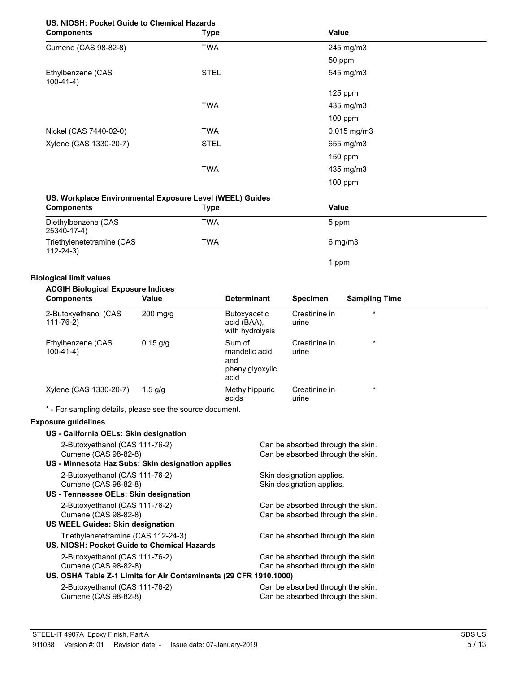# **US. NIOSH: Pocket Guide to Chemical Hazards**

| <b>Components</b>                | <b>Type</b> | Value         |  |
|----------------------------------|-------------|---------------|--|
| Cumene (CAS 98-82-8)             | <b>TWA</b>  | 245 mg/m3     |  |
|                                  |             | 50 ppm        |  |
| Ethylbenzene (CAS<br>$100-41-4)$ | <b>STEL</b> | 545 mg/m3     |  |
|                                  |             | $125$ ppm     |  |
|                                  | <b>TWA</b>  | 435 mg/m3     |  |
|                                  |             | $100$ ppm     |  |
| Nickel (CAS 7440-02-0)           | <b>TWA</b>  | $0.015$ mg/m3 |  |
| Xylene (CAS 1330-20-7)           | <b>STEL</b> | 655 mg/m3     |  |
|                                  |             | $150$ ppm     |  |
|                                  | <b>TWA</b>  | 435 mg/m3     |  |
|                                  |             | $100$ ppm     |  |

### **US. Workplace Environmental Exposure Level (WEEL) Guides**

| <b>Components</b>                           | Type | Value            |  |
|---------------------------------------------|------|------------------|--|
| Diethylbenzene (CAS<br>25340-17-4)          | TWA  | 5 ppm            |  |
| Triethylenetetramine (CAS<br>$112 - 24 - 3$ | TWA  | $6 \text{ mg/m}$ |  |
|                                             |      | ppm              |  |

### **Biological limit values**

### **ACGIH Biological Exposure Indices**

| <b>Components</b>                 | Value      | <b>Determinant</b>                                        | <b>Specimen</b>        | <b>Sampling Time</b> |
|-----------------------------------|------------|-----------------------------------------------------------|------------------------|----------------------|
| 2-Butoxyethanol (CAS<br>111-76-2) | $200$ mg/g | <b>Butoxyacetic</b><br>acid (BAA),<br>with hydrolysis     | Creatinine in<br>urine | $^\star$             |
| Ethylbenzene (CAS<br>$100-41-4)$  | $0.15$ g/g | Sum of<br>mandelic acid<br>and<br>phenylglyoxylic<br>acid | Creatinine in<br>urine | $\star$              |
| Xylene (CAS 1330-20-7)            | 1.5 $q/q$  | Methylhippuric<br>acids                                   | Creatinine in<br>urine | $\star$              |

\* - For sampling details, please see the source document.

### **Exposure guidelines**

| US - California OELs: Skin designation                            |                                   |
|-------------------------------------------------------------------|-----------------------------------|
| 2-Butoxyethanol (CAS 111-76-2)                                    | Can be absorbed through the skin. |
| Cumene (CAS 98-82-8)                                              | Can be absorbed through the skin. |
| US - Minnesota Haz Subs: Skin designation applies                 |                                   |
| 2-Butoxyethanol (CAS 111-76-2)                                    | Skin designation applies.         |
| Cumene (CAS 98-82-8)                                              | Skin designation applies.         |
| US - Tennessee OELs: Skin designation                             |                                   |
| 2-Butoxyethanol (CAS 111-76-2)                                    | Can be absorbed through the skin. |
| Cumene (CAS 98-82-8)                                              | Can be absorbed through the skin. |
| <b>US WEEL Guides: Skin designation</b>                           |                                   |
| Triethylenetetramine (CAS 112-24-3)                               | Can be absorbed through the skin. |
| US. NIOSH: Pocket Guide to Chemical Hazards                       |                                   |
| 2-Butoxyethanol (CAS 111-76-2)                                    | Can be absorbed through the skin. |
| Cumene (CAS 98-82-8)                                              | Can be absorbed through the skin. |
| US. OSHA Table Z-1 Limits for Air Contaminants (29 CFR 1910.1000) |                                   |
| 2-Butoxyethanol (CAS 111-76-2)                                    | Can be absorbed through the skin. |
| Cumene (CAS 98-82-8)                                              | Can be absorbed through the skin. |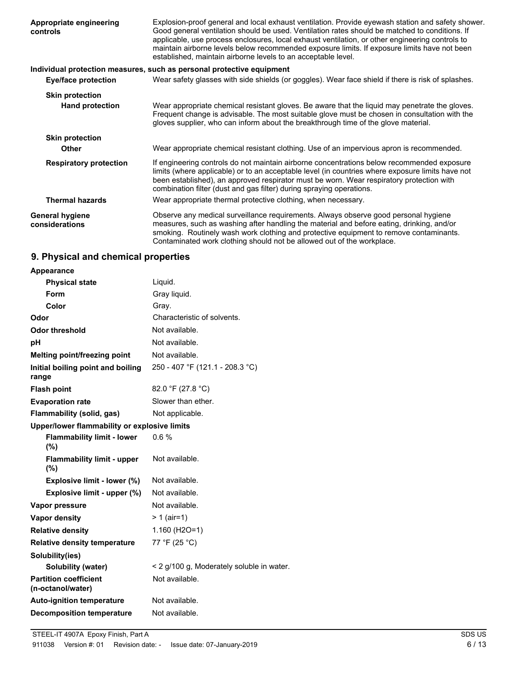| Appropriate engineering<br>controls      | Explosion-proof general and local exhaust ventilation. Provide eyewash station and safety shower.<br>Good general ventilation should be used. Ventilation rates should be matched to conditions. If<br>applicable, use process enclosures, local exhaust ventilation, or other engineering controls to<br>maintain airborne levels below recommended exposure limits. If exposure limits have not been<br>established, maintain airborne levels to an acceptable level. |
|------------------------------------------|-------------------------------------------------------------------------------------------------------------------------------------------------------------------------------------------------------------------------------------------------------------------------------------------------------------------------------------------------------------------------------------------------------------------------------------------------------------------------|
|                                          | Individual protection measures, such as personal protective equipment                                                                                                                                                                                                                                                                                                                                                                                                   |
| <b>Eye/face protection</b>               | Wear safety glasses with side shields (or goggles). Wear face shield if there is risk of splashes.                                                                                                                                                                                                                                                                                                                                                                      |
| <b>Skin protection</b>                   |                                                                                                                                                                                                                                                                                                                                                                                                                                                                         |
| <b>Hand protection</b>                   | Wear appropriate chemical resistant gloves. Be aware that the liquid may penetrate the gloves.<br>Frequent change is advisable. The most suitable glove must be chosen in consultation with the<br>gloves supplier, who can inform about the breakthrough time of the glove material.                                                                                                                                                                                   |
| <b>Skin protection</b>                   |                                                                                                                                                                                                                                                                                                                                                                                                                                                                         |
| <b>Other</b>                             | Wear appropriate chemical resistant clothing. Use of an impervious apron is recommended.                                                                                                                                                                                                                                                                                                                                                                                |
| <b>Respiratory protection</b>            | If engineering controls do not maintain airborne concentrations below recommended exposure<br>limits (where applicable) or to an acceptable level (in countries where exposure limits have not<br>been established), an approved respirator must be worn. Wear respiratory protection with<br>combination filter (dust and gas filter) during spraying operations.                                                                                                      |
| <b>Thermal hazards</b>                   | Wear appropriate thermal protective clothing, when necessary.                                                                                                                                                                                                                                                                                                                                                                                                           |
| <b>General hygiene</b><br>considerations | Observe any medical surveillance requirements. Always observe good personal hygiene<br>measures, such as washing after handling the material and before eating, drinking, and/or<br>smoking. Routinely wash work clothing and protective equipment to remove contaminants.<br>Contaminated work clothing should not be allowed out of the workplace.                                                                                                                    |

# **9. Physical and chemical properties**

| Appearance                                        |                                           |
|---------------------------------------------------|-------------------------------------------|
| <b>Physical state</b>                             | Liquid.                                   |
| Form                                              | Gray liquid.                              |
| Color                                             | Gray.                                     |
| Odor                                              | Characteristic of solvents.               |
| <b>Odor threshold</b>                             | Not available.                            |
| рH                                                | Not available.                            |
| Melting point/freezing point                      | Not available.                            |
| Initial boiling point and boiling<br>range        | 250 - 407 °F (121.1 - 208.3 °C)           |
| <b>Flash point</b>                                | 82.0 °F (27.8 °C)                         |
| <b>Evaporation rate</b>                           | Slower than ether.                        |
| Flammability (solid, gas)                         | Not applicable.                           |
| Upper/lower flammability or explosive limits      |                                           |
| <b>Flammability limit - lower</b><br>(%)          | 0.6%                                      |
| <b>Flammability limit - upper</b><br>(%)          | Not available.                            |
| Explosive limit - lower (%)                       | Not available.                            |
| Explosive limit - upper (%)                       | Not available.                            |
| Vapor pressure                                    | Not available.                            |
| <b>Vapor density</b>                              | $> 1$ (air=1)                             |
| <b>Relative density</b>                           | $1.160$ (H <sub>2O</sub> =1)              |
| <b>Relative density temperature</b>               | 77 °F (25 °C)                             |
| Solubility(ies)                                   |                                           |
| Solubility (water)                                | < 2 g/100 g, Moderately soluble in water. |
| <b>Partition coefficient</b><br>(n-octanol/water) | Not available.                            |
| <b>Auto-ignition temperature</b>                  | Not available.                            |
| <b>Decomposition temperature</b>                  | Not available.                            |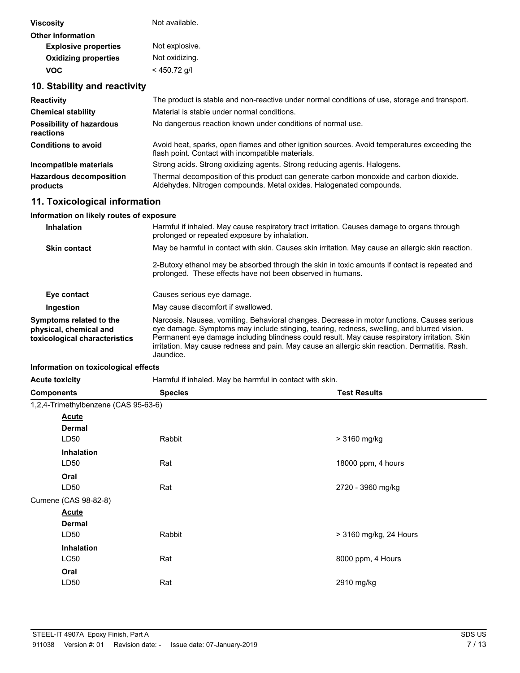| <b>Viscosity</b>                             | Not available.                                                                                                                                                |
|----------------------------------------------|---------------------------------------------------------------------------------------------------------------------------------------------------------------|
| <b>Other information</b>                     |                                                                                                                                                               |
| <b>Explosive properties</b>                  | Not explosive.                                                                                                                                                |
| <b>Oxidizing properties</b>                  | Not oxidizing.                                                                                                                                                |
| <b>VOC</b>                                   | $<$ 450.72 g/l                                                                                                                                                |
| 10. Stability and reactivity                 |                                                                                                                                                               |
| <b>Reactivity</b>                            | The product is stable and non-reactive under normal conditions of use, storage and transport.                                                                 |
| <b>Chemical stability</b>                    | Material is stable under normal conditions.                                                                                                                   |
| <b>Possibility of hazardous</b><br>reactions | No dangerous reaction known under conditions of normal use.                                                                                                   |
| <b>Conditions to avoid</b>                   | Avoid heat, sparks, open flames and other ignition sources. Avoid temperatures exceeding the<br>flash point. Contact with incompatible materials.             |
| Incompatible materials                       | Strong acids. Strong oxidizing agents. Strong reducing agents. Halogens.                                                                                      |
| <b>Hazardous decomposition</b><br>products   | Thermal decomposition of this product can generate carbon monoxide and carbon dioxide.<br>Aldehydes. Nitrogen compounds. Metal oxides. Halogenated compounds. |
| 11. Toxicological information                |                                                                                                                                                               |

#### **Information on likely routes of exposure**

| <b>Inhalation</b>                                                                  | Harmful if inhaled. May cause respiratory tract irritation. Causes damage to organs through<br>prolonged or repeated exposure by inhalation.                                                                                                                                                                                                                                                              |
|------------------------------------------------------------------------------------|-----------------------------------------------------------------------------------------------------------------------------------------------------------------------------------------------------------------------------------------------------------------------------------------------------------------------------------------------------------------------------------------------------------|
| <b>Skin contact</b>                                                                | May be harmful in contact with skin. Causes skin irritation. May cause an allergic skin reaction.                                                                                                                                                                                                                                                                                                         |
|                                                                                    | 2-Butoxy ethanol may be absorbed through the skin in toxic amounts if contact is repeated and<br>prolonged. These effects have not been observed in humans.                                                                                                                                                                                                                                               |
| Eye contact                                                                        | Causes serious eye damage.                                                                                                                                                                                                                                                                                                                                                                                |
| Ingestion                                                                          | May cause discomfort if swallowed.                                                                                                                                                                                                                                                                                                                                                                        |
| Symptoms related to the<br>physical, chemical and<br>toxicological characteristics | Narcosis. Nausea, vomiting. Behavioral changes. Decrease in motor functions. Causes serious<br>eye damage. Symptoms may include stinging, tearing, redness, swelling, and blurred vision.<br>Permanent eye damage including blindness could result. May cause respiratory irritation. Skin<br>irritation. May cause redness and pain. May cause an allergic skin reaction. Dermatitis. Rash.<br>Jaundice. |

### **Information on toxicological effects**

| <b>Components</b>                    | <b>Species</b> | <b>Test Results</b>    |
|--------------------------------------|----------------|------------------------|
| 1,2,4-Trimethylbenzene (CAS 95-63-6) |                |                        |
| <b>Acute</b>                         |                |                        |
| <b>Dermal</b>                        |                |                        |
| LD50                                 | Rabbit         | > 3160 mg/kg           |
| <b>Inhalation</b>                    |                |                        |
| LD50                                 | Rat            | 18000 ppm, 4 hours     |
| Oral                                 |                |                        |
| LD50                                 | Rat            | 2720 - 3960 mg/kg      |
| Cumene (CAS 98-82-8)                 |                |                        |
| <b>Acute</b>                         |                |                        |
| <b>Dermal</b>                        |                |                        |
| LD50                                 | Rabbit         | > 3160 mg/kg, 24 Hours |
| Inhalation                           |                |                        |
| <b>LC50</b>                          | Rat            | 8000 ppm, 4 Hours      |
| Oral                                 |                |                        |
| LD50                                 | Rat            | 2910 mg/kg             |
|                                      |                |                        |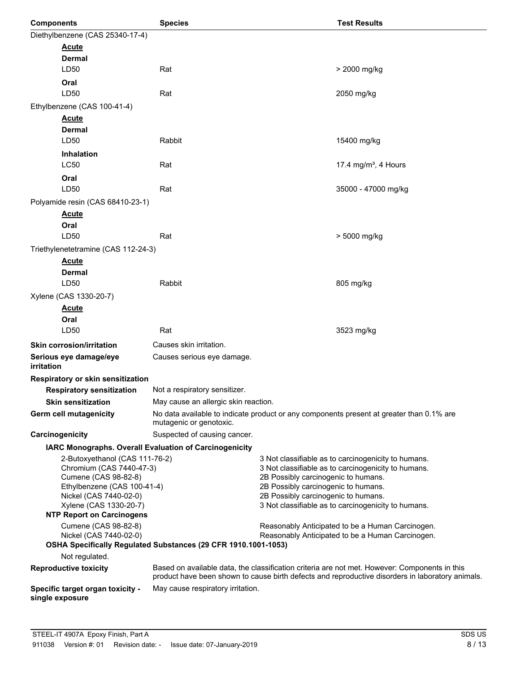| <b>Components</b>                                                                                                                                                                                         | <b>Species</b>                                                                                                                                                                                                                                                                         |  | <b>Test Results</b>                                                                      |
|-----------------------------------------------------------------------------------------------------------------------------------------------------------------------------------------------------------|----------------------------------------------------------------------------------------------------------------------------------------------------------------------------------------------------------------------------------------------------------------------------------------|--|------------------------------------------------------------------------------------------|
| Diethylbenzene (CAS 25340-17-4)                                                                                                                                                                           |                                                                                                                                                                                                                                                                                        |  |                                                                                          |
| <b>Acute</b>                                                                                                                                                                                              |                                                                                                                                                                                                                                                                                        |  |                                                                                          |
| <b>Dermal</b>                                                                                                                                                                                             |                                                                                                                                                                                                                                                                                        |  |                                                                                          |
| LD50                                                                                                                                                                                                      | Rat                                                                                                                                                                                                                                                                                    |  | > 2000 mg/kg                                                                             |
| Oral                                                                                                                                                                                                      |                                                                                                                                                                                                                                                                                        |  |                                                                                          |
| LD50                                                                                                                                                                                                      | Rat                                                                                                                                                                                                                                                                                    |  | 2050 mg/kg                                                                               |
| Ethylbenzene (CAS 100-41-4)                                                                                                                                                                               |                                                                                                                                                                                                                                                                                        |  |                                                                                          |
| <b>Acute</b><br><b>Dermal</b>                                                                                                                                                                             |                                                                                                                                                                                                                                                                                        |  |                                                                                          |
| LD50                                                                                                                                                                                                      | Rabbit                                                                                                                                                                                                                                                                                 |  | 15400 mg/kg                                                                              |
| <b>Inhalation</b>                                                                                                                                                                                         |                                                                                                                                                                                                                                                                                        |  |                                                                                          |
| <b>LC50</b>                                                                                                                                                                                               | Rat                                                                                                                                                                                                                                                                                    |  | 17.4 mg/m <sup>3</sup> , 4 Hours                                                         |
| Oral                                                                                                                                                                                                      |                                                                                                                                                                                                                                                                                        |  |                                                                                          |
| LD50                                                                                                                                                                                                      | Rat                                                                                                                                                                                                                                                                                    |  | 35000 - 47000 mg/kg                                                                      |
| Polyamide resin (CAS 68410-23-1)                                                                                                                                                                          |                                                                                                                                                                                                                                                                                        |  |                                                                                          |
| <b>Acute</b>                                                                                                                                                                                              |                                                                                                                                                                                                                                                                                        |  |                                                                                          |
| Oral                                                                                                                                                                                                      |                                                                                                                                                                                                                                                                                        |  |                                                                                          |
| LD50                                                                                                                                                                                                      | Rat                                                                                                                                                                                                                                                                                    |  | > 5000 mg/kg                                                                             |
| Triethylenetetramine (CAS 112-24-3)                                                                                                                                                                       |                                                                                                                                                                                                                                                                                        |  |                                                                                          |
| <b>Acute</b>                                                                                                                                                                                              |                                                                                                                                                                                                                                                                                        |  |                                                                                          |
| <b>Dermal</b>                                                                                                                                                                                             |                                                                                                                                                                                                                                                                                        |  |                                                                                          |
| LD50                                                                                                                                                                                                      | Rabbit                                                                                                                                                                                                                                                                                 |  | 805 mg/kg                                                                                |
| Xylene (CAS 1330-20-7)                                                                                                                                                                                    |                                                                                                                                                                                                                                                                                        |  |                                                                                          |
| <b>Acute</b>                                                                                                                                                                                              |                                                                                                                                                                                                                                                                                        |  |                                                                                          |
| Oral                                                                                                                                                                                                      |                                                                                                                                                                                                                                                                                        |  |                                                                                          |
| LD50                                                                                                                                                                                                      | Rat                                                                                                                                                                                                                                                                                    |  | 3523 mg/kg                                                                               |
| <b>Skin corrosion/irritation</b>                                                                                                                                                                          | Causes skin irritation.                                                                                                                                                                                                                                                                |  |                                                                                          |
| Serious eye damage/eye<br>irritation                                                                                                                                                                      | Causes serious eye damage.                                                                                                                                                                                                                                                             |  |                                                                                          |
| Respiratory or skin sensitization                                                                                                                                                                         |                                                                                                                                                                                                                                                                                        |  |                                                                                          |
| <b>Respiratory sensitization</b>                                                                                                                                                                          | Not a respiratory sensitizer.                                                                                                                                                                                                                                                          |  |                                                                                          |
| <b>Skin sensitization</b>                                                                                                                                                                                 | May cause an allergic skin reaction.                                                                                                                                                                                                                                                   |  |                                                                                          |
| Germ cell mutagenicity                                                                                                                                                                                    | mutagenic or genotoxic.                                                                                                                                                                                                                                                                |  | No data available to indicate product or any components present at greater than 0.1% are |
| Carcinogenicity                                                                                                                                                                                           | Suspected of causing cancer.                                                                                                                                                                                                                                                           |  |                                                                                          |
| IARC Monographs. Overall Evaluation of Carcinogenicity                                                                                                                                                    |                                                                                                                                                                                                                                                                                        |  |                                                                                          |
| 2-Butoxyethanol (CAS 111-76-2)<br>Chromium (CAS 7440-47-3)<br>Cumene (CAS 98-82-8)<br>Ethylbenzene (CAS 100-41-4)<br>Nickel (CAS 7440-02-0)<br>Xylene (CAS 1330-20-7)<br><b>NTP Report on Carcinogens</b> | 3 Not classifiable as to carcinogenicity to humans.<br>3 Not classifiable as to carcinogenicity to humans.<br>2B Possibly carcinogenic to humans.<br>2B Possibly carcinogenic to humans.<br>2B Possibly carcinogenic to humans.<br>3 Not classifiable as to carcinogenicity to humans. |  |                                                                                          |
| Cumene (CAS 98-82-8)<br>Nickel (CAS 7440-02-0)                                                                                                                                                            | Reasonably Anticipated to be a Human Carcinogen.<br>Reasonably Anticipated to be a Human Carcinogen.<br>OSHA Specifically Regulated Substances (29 CFR 1910.1001-1053)                                                                                                                 |  |                                                                                          |
| Not regulated.                                                                                                                                                                                            |                                                                                                                                                                                                                                                                                        |  |                                                                                          |
| <b>Reproductive toxicity</b>                                                                                                                                                                              | Based on available data, the classification criteria are not met. However: Components in this<br>product have been shown to cause birth defects and reproductive disorders in laboratory animals.                                                                                      |  |                                                                                          |
| Specific target organ toxicity -<br>single exposure                                                                                                                                                       | May cause respiratory irritation.                                                                                                                                                                                                                                                      |  |                                                                                          |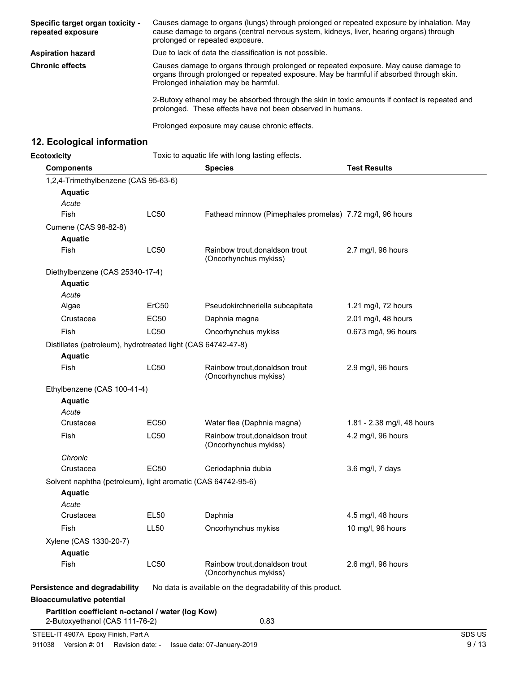| Specific target organ toxicity -<br>repeated exposure | Causes damage to organs (lungs) through prolonged or repeated exposure by inhalation. May<br>cause damage to organs (central nervous system, kidneys, liver, hearing organs) through<br>prolonged or repeated exposure. |  |
|-------------------------------------------------------|-------------------------------------------------------------------------------------------------------------------------------------------------------------------------------------------------------------------------|--|
| <b>Aspiration hazard</b>                              | Due to lack of data the classification is not possible.                                                                                                                                                                 |  |
| <b>Chronic effects</b>                                | Causes damage to organs through prolonged or repeated exposure. May cause damage to<br>organs through prolonged or repeated exposure. May be harmful if absorbed through skin.<br>Prolonged inhalation may be harmful.  |  |
|                                                       | 2-Butoxy ethanol may be absorbed through the skin in toxic amounts if contact is repeated and<br>prolonged. These effects have not been observed in humans.                                                             |  |
|                                                       |                                                                                                                                                                                                                         |  |

Prolonged exposure may cause chronic effects.

# **12. Ecological information**

**Ecotoxicity** Toxic to aquatic life with long lasting effects.

| <b>Components</b>                                            |             | <b>Species</b>                                             | <b>Test Results</b>        |
|--------------------------------------------------------------|-------------|------------------------------------------------------------|----------------------------|
| 1,2,4-Trimethylbenzene (CAS 95-63-6)                         |             |                                                            |                            |
| <b>Aquatic</b>                                               |             |                                                            |                            |
| Acute                                                        |             |                                                            |                            |
| Fish                                                         | LC50        | Fathead minnow (Pimephales promelas) 7.72 mg/l, 96 hours   |                            |
| Cumene (CAS 98-82-8)                                         |             |                                                            |                            |
| <b>Aquatic</b>                                               |             |                                                            |                            |
| Fish                                                         | LC50        | Rainbow trout, donaldson trout<br>(Oncorhynchus mykiss)    | 2.7 mg/l, 96 hours         |
| Diethylbenzene (CAS 25340-17-4)                              |             |                                                            |                            |
| <b>Aquatic</b>                                               |             |                                                            |                            |
| Acute                                                        |             |                                                            |                            |
| Algae                                                        | ErC50       | Pseudokirchneriella subcapitata                            | 1.21 mg/l, 72 hours        |
| Crustacea                                                    | <b>EC50</b> | Daphnia magna                                              | 2.01 mg/l, 48 hours        |
| Fish                                                         | LC50        | Oncorhynchus mykiss                                        | 0.673 mg/l, 96 hours       |
| Distillates (petroleum), hydrotreated light (CAS 64742-47-8) |             |                                                            |                            |
| <b>Aquatic</b>                                               |             |                                                            |                            |
| Fish                                                         | <b>LC50</b> | Rainbow trout, donaldson trout<br>(Oncorhynchus mykiss)    | 2.9 mg/l, 96 hours         |
| Ethylbenzene (CAS 100-41-4)                                  |             |                                                            |                            |
| <b>Aquatic</b>                                               |             |                                                            |                            |
| Acute                                                        |             |                                                            |                            |
| Crustacea                                                    | <b>EC50</b> | Water flea (Daphnia magna)                                 | 1.81 - 2.38 mg/l, 48 hours |
| Fish                                                         | LC50        | Rainbow trout, donaldson trout<br>(Oncorhynchus mykiss)    | 4.2 mg/l, 96 hours         |
| Chronic                                                      |             |                                                            |                            |
| Crustacea                                                    | <b>EC50</b> | Ceriodaphnia dubia                                         | 3.6 mg/l, 7 days           |
| Solvent naphtha (petroleum), light aromatic (CAS 64742-95-6) |             |                                                            |                            |
| <b>Aquatic</b>                                               |             |                                                            |                            |
| Acute                                                        |             |                                                            |                            |
| Crustacea                                                    | <b>EL50</b> | Daphnia                                                    | 4.5 mg/l, 48 hours         |
| Fish                                                         | <b>LL50</b> | Oncorhynchus mykiss                                        | 10 mg/l, 96 hours          |
| Xylene (CAS 1330-20-7)                                       |             |                                                            |                            |
| <b>Aquatic</b>                                               |             |                                                            |                            |
| Fish                                                         | <b>LC50</b> | Rainbow trout, donaldson trout<br>(Oncorhynchus mykiss)    | 2.6 mg/l, 96 hours         |
| <b>Persistence and degradability</b>                         |             | No data is available on the degradability of this product. |                            |
| <b>Bioaccumulative potential</b>                             |             |                                                            |                            |
| Partition coefficient n-octanol / water (log Kow)            |             |                                                            |                            |
| 2-Butoxyethanol (CAS 111-76-2)                               |             | 0.83                                                       |                            |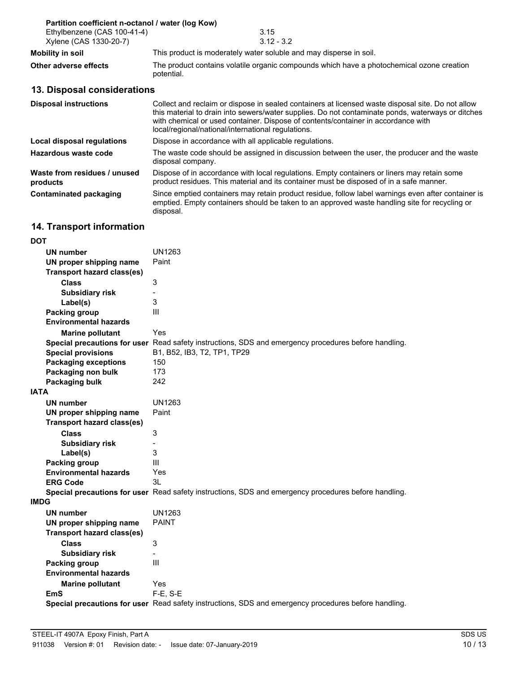| Partition coefficient n-octanol / water (log Kow)     |                                                                                                                                                                                                                                                                                                                                                   |
|-------------------------------------------------------|---------------------------------------------------------------------------------------------------------------------------------------------------------------------------------------------------------------------------------------------------------------------------------------------------------------------------------------------------|
| Ethylbenzene (CAS 100-41-4)<br>Xylene (CAS 1330-20-7) | 3.15<br>$3.12 - 3.2$                                                                                                                                                                                                                                                                                                                              |
| Mobility in soil                                      | This product is moderately water soluble and may disperse in soil.                                                                                                                                                                                                                                                                                |
| Other adverse effects                                 | The product contains volatile organic compounds which have a photochemical ozone creation<br>potential.                                                                                                                                                                                                                                           |
| 13. Disposal considerations                           |                                                                                                                                                                                                                                                                                                                                                   |
| <b>Disposal instructions</b>                          | Collect and reclaim or dispose in sealed containers at licensed waste disposal site. Do not allow<br>this material to drain into sewers/water supplies. Do not contaminate ponds, waterways or ditches<br>with chemical or used container. Dispose of contents/container in accordance with<br>local/regional/national/international regulations. |
| Local disposal regulations                            | Dispose in accordance with all applicable regulations.                                                                                                                                                                                                                                                                                            |
| Hazardous waste code                                  | The waste code should be assigned in discussion between the user, the producer and the waste<br>disposal company.                                                                                                                                                                                                                                 |

Dispose of in accordance with local regulations. Empty containers or liners may retain some product residues. This material and its container must be disposed of in a safe manner. **Waste from residues / unused products**

Since emptied containers may retain product residue, follow label warnings even after container is emptied. Empty containers should be taken to an approved waste handling site for recycling or disposal. **Contaminated packaging**

# **14. Transport information**

| <b>DOT</b>                        |                                                                                                             |
|-----------------------------------|-------------------------------------------------------------------------------------------------------------|
| <b>UN number</b>                  | UN1263                                                                                                      |
| UN proper shipping name           | Paint                                                                                                       |
| <b>Transport hazard class(es)</b> |                                                                                                             |
| <b>Class</b>                      | 3                                                                                                           |
| <b>Subsidiary risk</b>            |                                                                                                             |
| Label(s)                          | 3                                                                                                           |
| <b>Packing group</b>              | III                                                                                                         |
| <b>Environmental hazards</b>      |                                                                                                             |
| <b>Marine pollutant</b>           | Yes                                                                                                         |
|                                   | <b>Special precautions for user</b> Read safety instructions, SDS and emergency procedures before handling. |
| <b>Special provisions</b>         | B1, B52, IB3, T2, TP1, TP29                                                                                 |
| <b>Packaging exceptions</b>       | 150                                                                                                         |
| Packaging non bulk                | 173                                                                                                         |
| Packaging bulk                    | 242                                                                                                         |
| <b>IATA</b>                       |                                                                                                             |
| <b>UN number</b>                  | UN1263                                                                                                      |
| UN proper shipping name           | Paint                                                                                                       |
| <b>Transport hazard class(es)</b> |                                                                                                             |
| <b>Class</b>                      | 3                                                                                                           |
| <b>Subsidiary risk</b>            |                                                                                                             |
| Label(s)                          | 3                                                                                                           |
| <b>Packing group</b>              | Ш                                                                                                           |
| <b>Environmental hazards</b>      | Yes                                                                                                         |
| <b>ERG Code</b>                   | 31                                                                                                          |
|                                   | Special precautions for user Read safety instructions, SDS and emergency procedures before handling.        |
| <b>IMDG</b>                       |                                                                                                             |
| <b>UN number</b>                  | UN1263                                                                                                      |
| UN proper shipping name           | <b>PAINT</b>                                                                                                |
| <b>Transport hazard class(es)</b> |                                                                                                             |
| <b>Class</b>                      | 3                                                                                                           |
| <b>Subsidiary risk</b>            |                                                                                                             |
| Packing group                     | III                                                                                                         |
| <b>Environmental hazards</b>      |                                                                                                             |
| <b>Marine pollutant</b>           | Yes                                                                                                         |
| <b>EmS</b>                        | $F-E$ , S-E                                                                                                 |
|                                   | Special precautions for user Read safety instructions, SDS and emergency procedures before handling.        |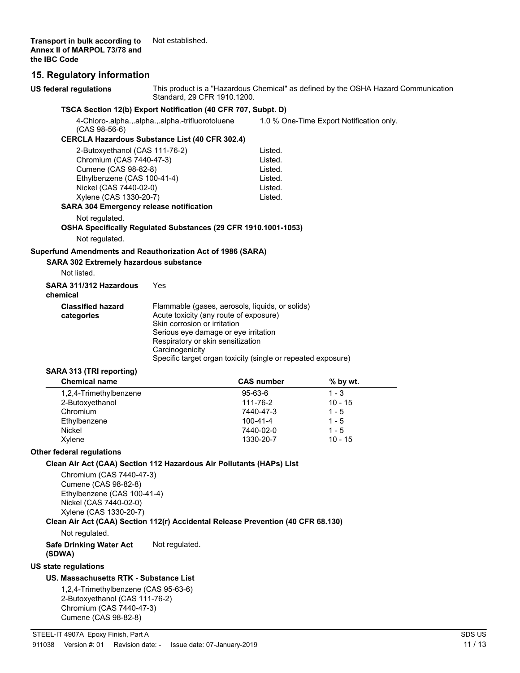**Transport in bulk according to** Not established. **Annex II of MARPOL 73/78 and the IBC Code**

### **15. Regulatory information**

| US federal regulations                                                                                                                                                                                                  | Standard, 29 CFR 1910.1200.                                                                                                                                                                                                                                                               |                       | This product is a "Hazardous Chemical" as defined by the OSHA Hazard Communication |  |
|-------------------------------------------------------------------------------------------------------------------------------------------------------------------------------------------------------------------------|-------------------------------------------------------------------------------------------------------------------------------------------------------------------------------------------------------------------------------------------------------------------------------------------|-----------------------|------------------------------------------------------------------------------------|--|
|                                                                                                                                                                                                                         | TSCA Section 12(b) Export Notification (40 CFR 707, Subpt. D)                                                                                                                                                                                                                             |                       |                                                                                    |  |
| $(CAS 98-56-6)$                                                                                                                                                                                                         | 4-Chloro-.alpha.,.alpha.,.alpha.-trifluorotoluene                                                                                                                                                                                                                                         |                       | 1.0 % One-Time Export Notification only.                                           |  |
|                                                                                                                                                                                                                         | <b>CERCLA Hazardous Substance List (40 CFR 302.4)</b>                                                                                                                                                                                                                                     |                       |                                                                                    |  |
| 2-Butoxyethanol (CAS 111-76-2)                                                                                                                                                                                          |                                                                                                                                                                                                                                                                                           | Listed.               |                                                                                    |  |
| Chromium (CAS 7440-47-3)                                                                                                                                                                                                |                                                                                                                                                                                                                                                                                           | Listed.               |                                                                                    |  |
| Cumene (CAS 98-82-8)                                                                                                                                                                                                    |                                                                                                                                                                                                                                                                                           | Listed.               |                                                                                    |  |
| Ethylbenzene (CAS 100-41-4)                                                                                                                                                                                             |                                                                                                                                                                                                                                                                                           | Listed.               |                                                                                    |  |
| Nickel (CAS 7440-02-0)                                                                                                                                                                                                  |                                                                                                                                                                                                                                                                                           | Listed.               |                                                                                    |  |
| Xylene (CAS 1330-20-7)<br><b>SARA 304 Emergency release notification</b>                                                                                                                                                |                                                                                                                                                                                                                                                                                           | Listed.               |                                                                                    |  |
| Not regulated.                                                                                                                                                                                                          | OSHA Specifically Regulated Substances (29 CFR 1910.1001-1053)                                                                                                                                                                                                                            |                       |                                                                                    |  |
| Not regulated.                                                                                                                                                                                                          |                                                                                                                                                                                                                                                                                           |                       |                                                                                    |  |
| Superfund Amendments and Reauthorization Act of 1986 (SARA)                                                                                                                                                             |                                                                                                                                                                                                                                                                                           |                       |                                                                                    |  |
| SARA 302 Extremely hazardous substance                                                                                                                                                                                  |                                                                                                                                                                                                                                                                                           |                       |                                                                                    |  |
| Not listed.                                                                                                                                                                                                             |                                                                                                                                                                                                                                                                                           |                       |                                                                                    |  |
| SARA 311/312 Hazardous<br>chemical                                                                                                                                                                                      | Yes                                                                                                                                                                                                                                                                                       |                       |                                                                                    |  |
| <b>Classified hazard</b><br>categories                                                                                                                                                                                  | Flammable (gases, aerosols, liquids, or solids)<br>Acute toxicity (any route of exposure)<br>Skin corrosion or irritation<br>Serious eye damage or eye irritation<br>Respiratory or skin sensitization<br>Carcinogenicity<br>Specific target organ toxicity (single or repeated exposure) |                       |                                                                                    |  |
| SARA 313 (TRI reporting)                                                                                                                                                                                                |                                                                                                                                                                                                                                                                                           |                       |                                                                                    |  |
| <b>Chemical name</b>                                                                                                                                                                                                    |                                                                                                                                                                                                                                                                                           | <b>CAS number</b>     | % by wt.                                                                           |  |
| 1,2,4-Trimethylbenzene                                                                                                                                                                                                  |                                                                                                                                                                                                                                                                                           | 95-63-6               | $1 - 3$                                                                            |  |
| 2-Butoxyethanol                                                                                                                                                                                                         |                                                                                                                                                                                                                                                                                           | 111-76-2              | $10 - 15$                                                                          |  |
| Chromium                                                                                                                                                                                                                |                                                                                                                                                                                                                                                                                           | 7440-47-3             | $1 - 5$                                                                            |  |
| Ethylbenzene<br><b>Nickel</b>                                                                                                                                                                                           |                                                                                                                                                                                                                                                                                           | 100-41-4<br>7440-02-0 | $1 - 5$<br>$1 - 5$                                                                 |  |
| Xylene                                                                                                                                                                                                                  |                                                                                                                                                                                                                                                                                           | 1330-20-7             | $10 - 15$                                                                          |  |
| Other federal regulations                                                                                                                                                                                               |                                                                                                                                                                                                                                                                                           |                       |                                                                                    |  |
| Clean Air Act (CAA) Section 112 Hazardous Air Pollutants (HAPs) List                                                                                                                                                    |                                                                                                                                                                                                                                                                                           |                       |                                                                                    |  |
| Chromium (CAS 7440-47-3)<br>Cumene (CAS 98-82-8)<br>Ethylbenzene (CAS 100-41-4)<br>Nickel (CAS 7440-02-0)<br>Xylene (CAS 1330-20-7)<br>Clean Air Act (CAA) Section 112(r) Accidental Release Prevention (40 CFR 68.130) |                                                                                                                                                                                                                                                                                           |                       |                                                                                    |  |
| Not regulated.                                                                                                                                                                                                          |                                                                                                                                                                                                                                                                                           |                       |                                                                                    |  |
| <b>Safe Drinking Water Act</b><br>(SDWA)                                                                                                                                                                                | Not regulated.                                                                                                                                                                                                                                                                            |                       |                                                                                    |  |
| <b>US state regulations</b>                                                                                                                                                                                             |                                                                                                                                                                                                                                                                                           |                       |                                                                                    |  |
| US. Massachusetts RTK - Substance List                                                                                                                                                                                  |                                                                                                                                                                                                                                                                                           |                       |                                                                                    |  |
| 1.2.4-Trimethylbenzene (CAS 95-63-6)                                                                                                                                                                                    |                                                                                                                                                                                                                                                                                           |                       |                                                                                    |  |

1,2,4-Trimethylbenzene (CAS 95-63-6) 2-Butoxyethanol (CAS 111-76-2) Chromium (CAS 7440-47-3) Cumene (CAS 98-82-8)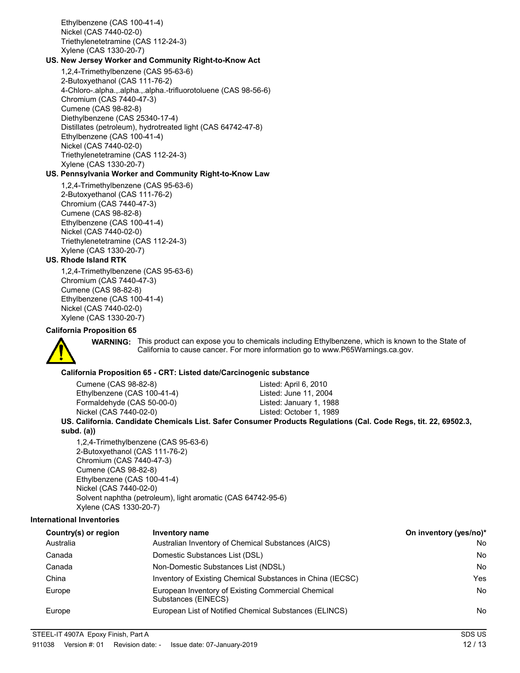Ethylbenzene (CAS 100-41-4) Nickel (CAS 7440-02-0) Triethylenetetramine (CAS 112-24-3) Xylene (CAS 1330-20-7)

### **US. New Jersey Worker and Community Right-to-Know Act**

1,2,4-Trimethylbenzene (CAS 95-63-6) 2-Butoxyethanol (CAS 111-76-2) 4-Chloro-.alpha.,.alpha.,.alpha.-trifluorotoluene (CAS 98-56-6) Chromium (CAS 7440-47-3) Cumene (CAS 98-82-8) Diethylbenzene (CAS 25340-17-4) Distillates (petroleum), hydrotreated light (CAS 64742-47-8) Ethylbenzene (CAS 100-41-4) Nickel (CAS 7440-02-0) Triethylenetetramine (CAS 112-24-3) Xylene (CAS 1330-20-7)

### **US. Pennsylvania Worker and Community Right-to-Know Law**

1,2,4-Trimethylbenzene (CAS 95-63-6) 2-Butoxyethanol (CAS 111-76-2) Chromium (CAS 7440-47-3) Cumene (CAS 98-82-8) Ethylbenzene (CAS 100-41-4) Nickel (CAS 7440-02-0) Triethylenetetramine (CAS 112-24-3) Xylene (CAS 1330-20-7)

### **US. Rhode Island RTK**

1,2,4-Trimethylbenzene (CAS 95-63-6) Chromium (CAS 7440-47-3) Cumene (CAS 98-82-8) Ethylbenzene (CAS 100-41-4) Nickel (CAS 7440-02-0) Xylene (CAS 1330-20-7)

### **California Proposition 65**



WARNING: This product can expose you to chemicals including Ethylbenzene, which is known to the State of California to cause cancer. For more information go to www.P65Warnings.ca.gov.

### **California Proposition 65 - CRT: Listed date/Carcinogenic substance**

Cumene (CAS 98-82-8) Listed: April 6, 2010 Ethylbenzene (CAS 100-41-4) Listed: June 11, 2004 Formaldehyde (CAS 50-00-0) Listed: January 1, 1988 Nickel (CAS 7440-02-0) Listed: October 1, 1989

### **US. California. Candidate Chemicals List. Safer Consumer Products Regulations (Cal. Code Regs, tit. 22, 69502.3, subd. (a))**

1,2,4-Trimethylbenzene (CAS 95-63-6) 2-Butoxyethanol (CAS 111-76-2) Chromium (CAS 7440-47-3) Cumene (CAS 98-82-8) Ethylbenzene (CAS 100-41-4) Nickel (CAS 7440-02-0) Solvent naphtha (petroleum), light aromatic (CAS 64742-95-6) Xylene (CAS 1330-20-7)

### **International Inventories**

| Country(s) or region | Inventory name                                                            | On inventory (yes/no)* |
|----------------------|---------------------------------------------------------------------------|------------------------|
| Australia            | Australian Inventory of Chemical Substances (AICS)                        | No                     |
| Canada               | Domestic Substances List (DSL)                                            | No                     |
| Canada               | Non-Domestic Substances List (NDSL)                                       | <b>No</b>              |
| China                | Inventory of Existing Chemical Substances in China (IECSC)                | Yes                    |
| Europe               | European Inventory of Existing Commercial Chemical<br>Substances (EINECS) | <b>No</b>              |
| Europe               | European List of Notified Chemical Substances (ELINCS)                    | No                     |